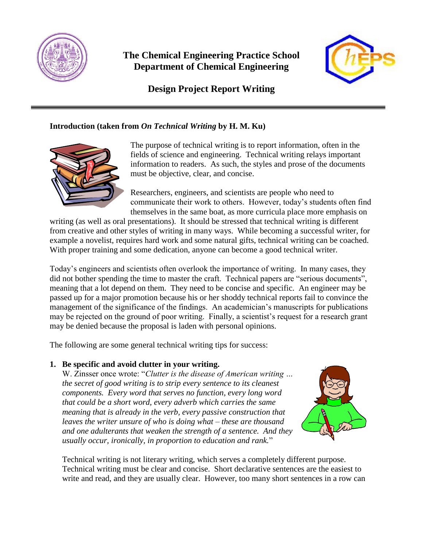

# **The Chemical Engineering Practice School Department of Chemical Engineering**



**Design Project Report Writing**

# **Introduction (taken from** *On Technical Writing* **by H. M. Ku)**



The purpose of technical writing is to report information, often in the fields of science and engineering. Technical writing relays important information to readers. As such, the styles and prose of the documents must be objective, clear, and concise.

Researchers, engineers, and scientists are people who need to communicate their work to others. However, today's students often find themselves in the same boat, as more curricula place more emphasis on

writing (as well as oral presentations). It should be stressed that technical writing is different from creative and other styles of writing in many ways. While becoming a successful writer, for example a novelist, requires hard work and some natural gifts, technical writing can be coached. With proper training and some dedication, anyone can become a good technical writer.

Today's engineers and scientists often overlook the importance of writing. In many cases, they did not bother spending the time to master the craft. Technical papers are "serious documents", meaning that a lot depend on them. They need to be concise and specific. An engineer may be passed up for a major promotion because his or her shoddy technical reports fail to convince the management of the significance of the findings. An academician's manuscripts for publications may be rejected on the ground of poor writing. Finally, a scientist's request for a research grant may be denied because the proposal is laden with personal opinions.

The following are some general technical writing tips for success:

# **1. Be specific and avoid clutter in your writing.**

W. Zinsser once wrote: "*Clutter is the disease of American writing … the secret of good writing is to strip every sentence to its cleanest components. Every word that serves no function, every long word that could be a short word, every adverb which carries the same meaning that is already in the verb, every passive construction that leaves the writer unsure of who is doing what – these are thousand and one adulterants that weaken the strength of a sentence. And they usually occur, ironically, in proportion to education and rank.*"



Technical writing is not literary writing, which serves a completely different purpose. Technical writing must be clear and concise. Short declarative sentences are the easiest to write and read, and they are usually clear. However, too many short sentences in a row can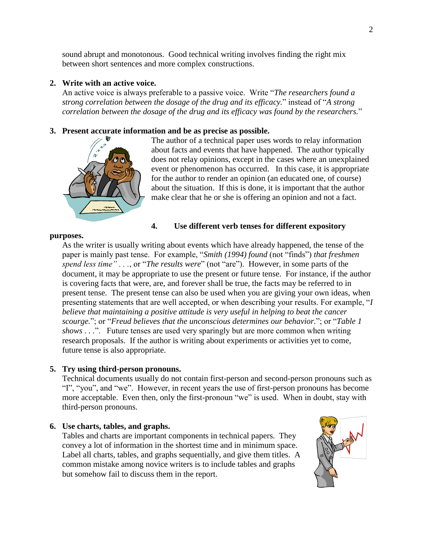sound abrupt and monotonous. Good technical writing involves finding the right mix between short sentences and more complex constructions.

#### **2. Write with an active voice.**

An active voice is always preferable to a passive voice. Write "*The researchers found a strong correlation between the dosage of the drug and its efficacy.*" instead of "*A strong correlation between the dosage of the drug and its efficacy was found by the researchers.*"

#### **3. Present accurate information and be as precise as possible.**



The author of a technical paper uses words to relay information about facts and events that have happened. The author typically does not relay opinions, except in the cases where an unexplained event or phenomenon has occurred. In this case, it is appropriate for the author to render an opinion (an educated one, of course) about the situation. If this is done, it is important that the author make clear that he or she is offering an opinion and not a fact.

#### **4. Use different verb tenses for different expository**

#### **purposes.**

As the writer is usually writing about events which have already happened, the tense of the paper is mainly past tense. For example, "*Smith (1994) found* (not "finds") *that freshmen spend less time" . . .*, or "*The results were*" (not "are"). However, in some parts of the document, it may be appropriate to use the present or future tense. For instance, if the author is covering facts that were, are, and forever shall be true, the facts may be referred to in present tense. The present tense can also be used when you are giving your own ideas, when presenting statements that are well accepted, or when describing your results. For example, "*I believe that maintaining a positive attitude is very useful in helping to beat the cancer scourge.*"; or "*Freud believes that the unconscious determines our behavior.*"; or "*Table 1 shows . . .*". Future tenses are used very sparingly but are more common when writing research proposals. If the author is writing about experiments or activities yet to come, future tense is also appropriate.

#### **5. Try using third-person pronouns.**

Technical documents usually do not contain first-person and second-person pronouns such as "I", "you", and "we". However, in recent years the use of first-person pronouns has become more acceptable. Even then, only the first-pronoun "we" is used. When in doubt, stay with third-person pronouns.

#### **6. Use charts, tables, and graphs.**

Tables and charts are important components in technical papers. They convey a lot of information in the shortest time and in minimum space. Label all charts, tables, and graphs sequentially, and give them titles. A common mistake among novice writers is to include tables and graphs but somehow fail to discuss them in the report.

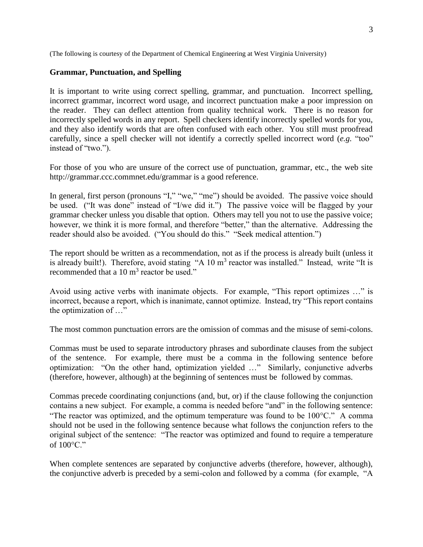(The following is courtesy of the Department of Chemical Engineering at West Virginia University)

### **Grammar, Punctuation, and Spelling**

It is important to write using correct spelling, grammar, and punctuation. Incorrect spelling, incorrect grammar, incorrect word usage, and incorrect punctuation make a poor impression on the reader. They can deflect attention from quality technical work. There is no reason for incorrectly spelled words in any report. Spell checkers identify incorrectly spelled words for you, and they also identify words that are often confused with each other. You still must proofread carefully, since a spell checker will not identify a correctly spelled incorrect word (*e.g.* "too" instead of "two.").

For those of you who are unsure of the correct use of punctuation, grammar, etc., the web site http://grammar.ccc.commnet.edu/grammar is a good reference.

In general, first person (pronouns "I," "we," "me") should be avoided. The passive voice should be used. ("It was done" instead of "I/we did it.") The passive voice will be flagged by your grammar checker unless you disable that option. Others may tell you not to use the passive voice; however, we think it is more formal, and therefore "better," than the alternative. Addressing the reader should also be avoided. ("You should do this." "Seek medical attention.")

The report should be written as a recommendation, not as if the process is already built (unless it is already built!). Therefore, avoid stating "A  $10 \text{ m}^3$  reactor was installed." Instead, write "It is recommended that a  $10 \text{ m}^3$  reactor be used."

Avoid using active verbs with inanimate objects. For example, "This report optimizes …" is incorrect, because a report, which is inanimate, cannot optimize. Instead, try "This report contains the optimization of …"

The most common punctuation errors are the omission of commas and the misuse of semi-colons.

Commas must be used to separate introductory phrases and subordinate clauses from the subject of the sentence. For example, there must be a comma in the following sentence before optimization: "On the other hand, optimization yielded …" Similarly, conjunctive adverbs (therefore, however, although) at the beginning of sentences must be followed by commas.

Commas precede coordinating conjunctions (and, but, or) if the clause following the conjunction contains a new subject. For example, a comma is needed before "and" in the following sentence: "The reactor was optimized, and the optimum temperature was found to be  $100^{\circ}$ C." A comma should not be used in the following sentence because what follows the conjunction refers to the original subject of the sentence: "The reactor was optimized and found to require a temperature of  $100^{\circ}$ C."

When complete sentences are separated by conjunctive adverbs (therefore, however, although), the conjunctive adverb is preceded by a semi-colon and followed by a comma (for example, "A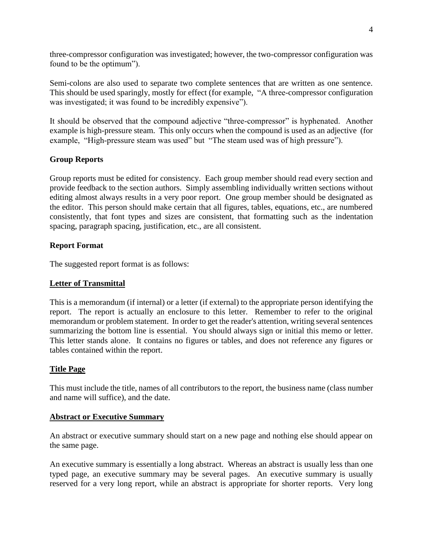three-compressor configuration was investigated; however, the two-compressor configuration was found to be the optimum").

Semi-colons are also used to separate two complete sentences that are written as one sentence. This should be used sparingly, mostly for effect (for example, "A three-compressor configuration was investigated; it was found to be incredibly expensive").

It should be observed that the compound adjective "three-compressor" is hyphenated. Another example is high-pressure steam. This only occurs when the compound is used as an adjective (for example, "High-pressure steam was used" but "The steam used was of high pressure").

# **Group Reports**

Group reports must be edited for consistency. Each group member should read every section and provide feedback to the section authors. Simply assembling individually written sections without editing almost always results in a very poor report. One group member should be designated as the editor. This person should make certain that all figures, tables, equations, etc., are numbered consistently, that font types and sizes are consistent, that formatting such as the indentation spacing, paragraph spacing, justification, etc., are all consistent.

## **Report Format**

The suggested report format is as follows:

# **Letter of Transmittal**

This is a memorandum (if internal) or a letter (if external) to the appropriate person identifying the report. The report is actually an enclosure to this letter. Remember to refer to the original memorandum or problem statement. In order to get the reader's attention, writing several sentences summarizing the bottom line is essential. You should always sign or initial this memo or letter. This letter stands alone. It contains no figures or tables, and does not reference any figures or tables contained within the report.

# **Title Page**

This must include the title, names of all contributors to the report, the business name (class number and name will suffice), and the date.

### **Abstract or Executive Summary**

An abstract or executive summary should start on a new page and nothing else should appear on the same page.

An executive summary is essentially a long abstract. Whereas an abstract is usually less than one typed page, an executive summary may be several pages. An executive summary is usually reserved for a very long report, while an abstract is appropriate for shorter reports. Very long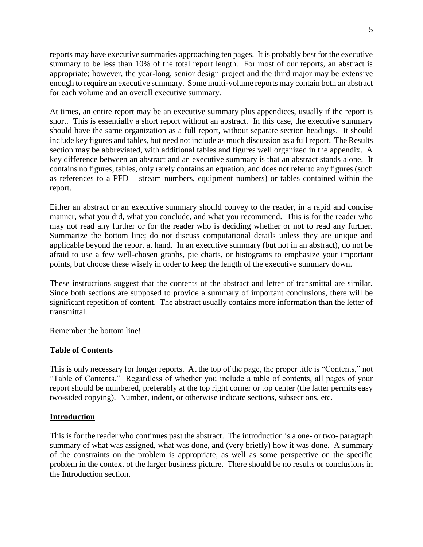reports may have executive summaries approaching ten pages. It is probably best for the executive summary to be less than 10% of the total report length. For most of our reports, an abstract is appropriate; however, the year-long, senior design project and the third major may be extensive enough to require an executive summary. Some multi-volume reports may contain both an abstract for each volume and an overall executive summary.

At times, an entire report may be an executive summary plus appendices, usually if the report is short. This is essentially a short report without an abstract. In this case, the executive summary should have the same organization as a full report, without separate section headings. It should include key figures and tables, but need not include as much discussion as a full report. The Results section may be abbreviated, with additional tables and figures well organized in the appendix. A key difference between an abstract and an executive summary is that an abstract stands alone. It contains no figures, tables, only rarely contains an equation, and does not refer to any figures (such as references to a PFD – stream numbers, equipment numbers) or tables contained within the report.

Either an abstract or an executive summary should convey to the reader, in a rapid and concise manner, what you did, what you conclude, and what you recommend. This is for the reader who may not read any further or for the reader who is deciding whether or not to read any further. Summarize the bottom line; do not discuss computational details unless they are unique and applicable beyond the report at hand. In an executive summary (but not in an abstract), do not be afraid to use a few well-chosen graphs, pie charts, or histograms to emphasize your important points, but choose these wisely in order to keep the length of the executive summary down.

These instructions suggest that the contents of the abstract and letter of transmittal are similar. Since both sections are supposed to provide a summary of important conclusions, there will be significant repetition of content. The abstract usually contains more information than the letter of transmittal.

Remember the bottom line!

# **Table of Contents**

This is only necessary for longer reports. At the top of the page, the proper title is "Contents," not "Table of Contents." Regardless of whether you include a table of contents, all pages of your report should be numbered, preferably at the top right corner or top center (the latter permits easy two-sided copying). Number, indent, or otherwise indicate sections, subsections, etc.

### **Introduction**

This is for the reader who continues past the abstract. The introduction is a one- or two- paragraph summary of what was assigned, what was done, and (very briefly) how it was done. A summary of the constraints on the problem is appropriate, as well as some perspective on the specific problem in the context of the larger business picture. There should be no results or conclusions in the Introduction section.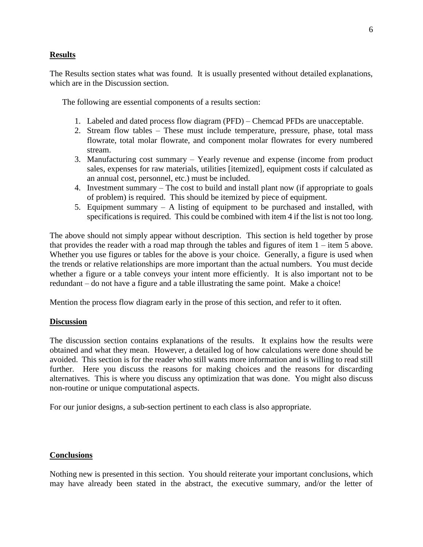#### **Results**

The Results section states what was found. It is usually presented without detailed explanations, which are in the Discussion section.

The following are essential components of a results section:

- 1. Labeled and dated process flow diagram (PFD) Chemcad PFDs are unacceptable.
- 2. Stream flow tables These must include temperature, pressure, phase, total mass flowrate, total molar flowrate, and component molar flowrates for every numbered stream.
- 3. Manufacturing cost summary Yearly revenue and expense (income from product sales, expenses for raw materials, utilities [itemized], equipment costs if calculated as an annual cost, personnel, etc.) must be included.
- 4. Investment summary The cost to build and install plant now (if appropriate to goals of problem) is required. This should be itemized by piece of equipment.
- 5. Equipment summary A listing of equipment to be purchased and installed, with specifications is required. This could be combined with item 4 if the list is not too long.

The above should not simply appear without description. This section is held together by prose that provides the reader with a road map through the tables and figures of item  $1 -$ item  $5$  above. Whether you use figures or tables for the above is your choice. Generally, a figure is used when the trends or relative relationships are more important than the actual numbers. You must decide whether a figure or a table conveys your intent more efficiently. It is also important not to be redundant – do not have a figure and a table illustrating the same point. Make a choice!

Mention the process flow diagram early in the prose of this section, and refer to it often.

#### **Discussion**

The discussion section contains explanations of the results. It explains how the results were obtained and what they mean. However, a detailed log of how calculations were done should be avoided. This section is for the reader who still wants more information and is willing to read still further. Here you discuss the reasons for making choices and the reasons for discarding alternatives. This is where you discuss any optimization that was done. You might also discuss non-routine or unique computational aspects.

For our junior designs, a sub-section pertinent to each class is also appropriate.

### **Conclusions**

Nothing new is presented in this section. You should reiterate your important conclusions, which may have already been stated in the abstract, the executive summary, and/or the letter of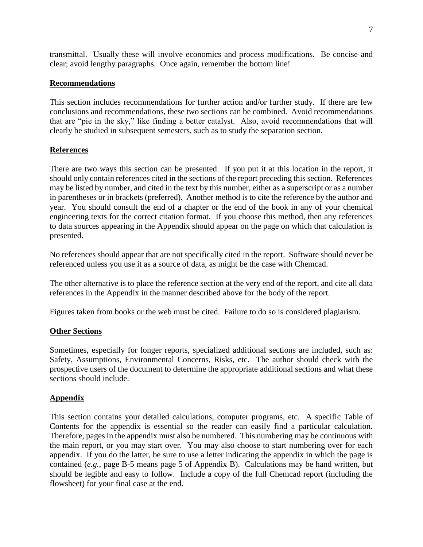transmittal. Usually these will involve economics and process modifications. Be concise and clear; avoid lengthy paragraphs. Once again, remember the bottom line!

# **Recommendations**

This section includes recommendations for further action and/or further study. If there are few conclusions and recommendations, these two sections can be combined. Avoid recommendations that are "pie in the sky," like finding a better catalyst. Also, avoid recommendations that will clearly be studied in subsequent semesters, such as to study the separation section.

## **References**

There are two ways this section can be presented. If you put it at this location in the report, it should only contain references cited in the sections of the report preceding this section. References may be listed by number, and cited in the text by this number, either as a superscript or as a number in parentheses or in brackets (preferred). Another method is to cite the reference by the author and year. You should consult the end of a chapter or the end of the book in any of your chemical engineering texts for the correct citation format. If you choose this method, then any references to data sources appearing in the Appendix should appear on the page on which that calculation is presented.

No references should appear that are not specifically cited in the report. Software should never be referenced unless you use it as a source of data, as might be the case with Chemcad.

The other alternative is to place the reference section at the very end of the report, and cite all data references in the Appendix in the manner described above for the body of the report.

Figures taken from books or the web must be cited. Failure to do so is considered plagiarism.

### **Other Sections**

Sometimes, especially for longer reports, specialized additional sections are included, such as: Safety, Assumptions, Environmental Concerns, Risks, etc. The author should check with the prospective users of the document to determine the appropriate additional sections and what these sections should include.

### **Appendix**

This section contains your detailed calculations, computer programs, etc. A specific Table of Contents for the appendix is essential so the reader can easily find a particular calculation. Therefore, pages in the appendix must also be numbered. This numbering may be continuous with the main report, or you may start over. You may also choose to start numbering over for each appendix. If you do the latter, be sure to use a letter indicating the appendix in which the page is contained (*e.g.*, page B-5 means page 5 of Appendix B). Calculations may be hand written, but should be legible and easy to follow. Include a copy of the full Chemcad report (including the flowsheet) for your final case at the end.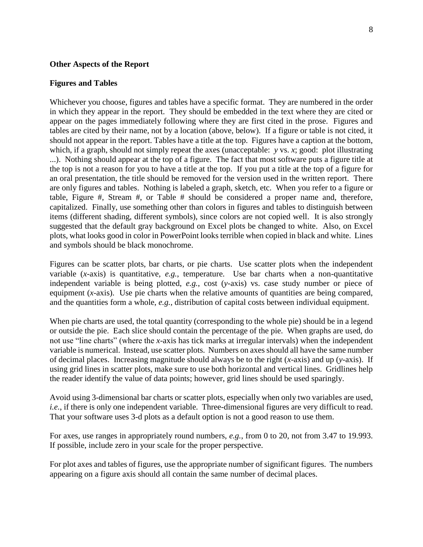#### **Other Aspects of the Report**

#### **Figures and Tables**

Whichever you choose, figures and tables have a specific format. They are numbered in the order in which they appear in the report. They should be embedded in the text where they are cited or appear on the pages immediately following where they are first cited in the prose. Figures and tables are cited by their name, not by a location (above, below). If a figure or table is not cited, it should not appear in the report. Tables have a title at the top. Figures have a caption at the bottom, which, if a graph, should not simply repeat the axes (unacceptable: *y* vs. *x*; good: plot illustrating ...). Nothing should appear at the top of a figure. The fact that most software puts a figure title at the top is not a reason for you to have a title at the top. If you put a title at the top of a figure for an oral presentation, the title should be removed for the version used in the written report. There are only figures and tables. Nothing is labeled a graph, sketch, etc. When you refer to a figure or table, Figure #, Stream #, or Table # should be considered a proper name and, therefore, capitalized. Finally, use something other than colors in figures and tables to distinguish between items (different shading, different symbols), since colors are not copied well. It is also strongly suggested that the default gray background on Excel plots be changed to white. Also, on Excel plots, what looks good in color in PowerPoint looks terrible when copied in black and white. Lines and symbols should be black monochrome.

Figures can be scatter plots, bar charts, or pie charts. Use scatter plots when the independent variable (*x*-axis) is quantitative, *e.g.*, temperature. Use bar charts when a non-quantitative independent variable is being plotted, *e.g.*, cost (*y*-axis) vs. case study number or piece of equipment (*x*-axis). Use pie charts when the relative amounts of quantities are being compared, and the quantities form a whole, *e.g.*, distribution of capital costs between individual equipment.

When pie charts are used, the total quantity (corresponding to the whole pie) should be in a legend or outside the pie. Each slice should contain the percentage of the pie. When graphs are used, do not use "line charts" (where the *x*-axis has tick marks at irregular intervals) when the independent variable is numerical. Instead, use scatter plots. Numbers on axes should all have the same number of decimal places. Increasing magnitude should always be to the right (*x*-axis) and up (*y*-axis). If using grid lines in scatter plots, make sure to use both horizontal and vertical lines. Gridlines help the reader identify the value of data points; however, grid lines should be used sparingly.

Avoid using 3-dimensional bar charts or scatter plots, especially when only two variables are used, *i.e.*, if there is only one independent variable. Three-dimensional figures are very difficult to read. That your software uses 3-d plots as a default option is not a good reason to use them.

For axes, use ranges in appropriately round numbers, *e.g.*, from 0 to 20, not from 3.47 to 19.993. If possible, include zero in your scale for the proper perspective.

For plot axes and tables of figures, use the appropriate number of significant figures. The numbers appearing on a figure axis should all contain the same number of decimal places.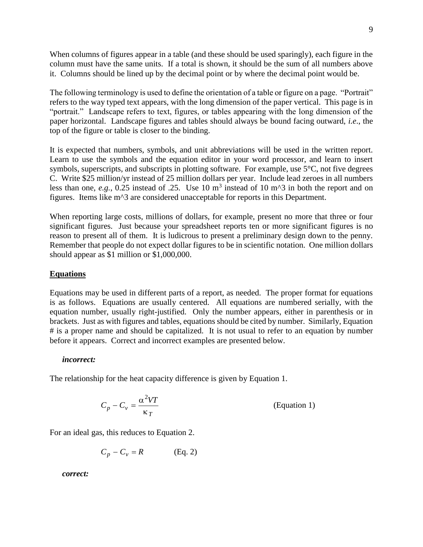When columns of figures appear in a table (and these should be used sparingly), each figure in the column must have the same units. If a total is shown, it should be the sum of all numbers above it. Columns should be lined up by the decimal point or by where the decimal point would be.

The following terminology is used to define the orientation of a table or figure on a page. "Portrait" refers to the way typed text appears, with the long dimension of the paper vertical. This page is in "portrait." Landscape refers to text, figures, or tables appearing with the long dimension of the paper horizontal. Landscape figures and tables should always be bound facing outward, *i.e*., the top of the figure or table is closer to the binding.

It is expected that numbers, symbols, and unit abbreviations will be used in the written report. Learn to use the symbols and the equation editor in your word processor, and learn to insert symbols, superscripts, and subscripts in plotting software. For example, use 5°C, not five degrees C. Write \$25 million/yr instead of 25 million dollars per year. Include lead zeroes in all numbers less than one,  $e.g., 0.25$  instead of .25. Use 10  $m<sup>3</sup>$  instead of 10  $m<sup>3</sup>$  in both the report and on figures. Items like m^3 are considered unacceptable for reports in this Department.

When reporting large costs, millions of dollars, for example, present no more that three or four significant figures. Just because your spreadsheet reports ten or more significant figures is no reason to present all of them. It is ludicrous to present a preliminary design down to the penny. Remember that people do not expect dollar figures to be in scientific notation. One million dollars should appear as \$1 million or \$1,000,000.

### **Equations**

Equations may be used in different parts of a report, as needed. The proper format for equations is as follows. Equations are usually centered. All equations are numbered serially, with the equation number, usually right-justified. Only the number appears, either in parenthesis or in brackets. Just as with figures and tables, equations should be cited by number. Similarly, Equation # is a proper name and should be capitalized. It is not usual to refer to an equation by number before it appears. Correct and incorrect examples are presented below.

### *incorrect:*

The relationship for the heat capacity difference is given by Equation 1.

$$
C_p - C_v = \frac{\alpha^2 V T}{\kappa_T}
$$
 (Equation 1)

For an ideal gas, this reduces to Equation 2.

$$
C_p - C_v = R \qquad \qquad \text{(Eq. 2)}
$$

*correct:*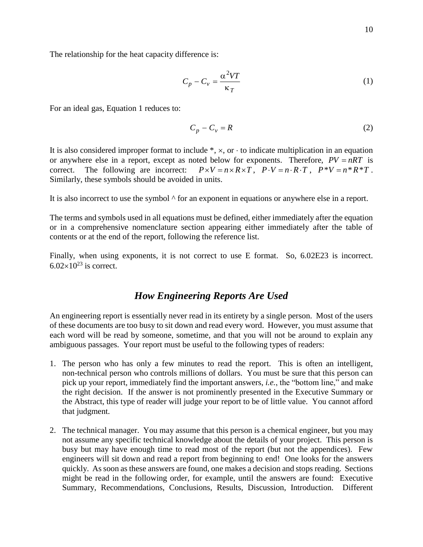The relationship for the heat capacity difference is:

$$
C_p - C_v = \frac{\alpha^2 V T}{\kappa_T} \tag{1}
$$

For an ideal gas, Equation 1 reduces to:

$$
C_p - C_v = R \tag{2}
$$

It is also considered improper format to include  $\ast$ ,  $\times$ , or  $\cdot$  to indicate multiplication in an equation or anywhere else in a report, except as noted below for exponents. Therefore,  $PV = nRT$  is correct. The following are incorrect:  $P \times V = n \times R \times T$ ,  $P \cdot V = n \cdot R \cdot T$ ,  $P^*V = n^*R^*T$ . Similarly, these symbols should be avoided in units.

It is also incorrect to use the symbol  $\wedge$  for an exponent in equations or anywhere else in a report.

The terms and symbols used in all equations must be defined, either immediately after the equation or in a comprehensive nomenclature section appearing either immediately after the table of contents or at the end of the report, following the reference list.

Finally, when using exponents, it is not correct to use E format. So, 6.02E23 is incorrect.  $6.02\times10^{23}$  is correct.

# *How Engineering Reports Are Used*

An engineering report is essentially never read in its entirety by a single person. Most of the users of these documents are too busy to sit down and read every word. However, you must assume that each word will be read by someone, sometime, and that you will not be around to explain any ambiguous passages. Your report must be useful to the following types of readers:

- 1. The person who has only a few minutes to read the report. This is often an intelligent, non-technical person who controls millions of dollars. You must be sure that this person can pick up your report, immediately find the important answers, *i.e.*, the "bottom line," and make the right decision. If the answer is not prominently presented in the Executive Summary or the Abstract, this type of reader will judge your report to be of little value. You cannot afford that judgment.
- 2. The technical manager. You may assume that this person is a chemical engineer, but you may not assume any specific technical knowledge about the details of your project. This person is busy but may have enough time to read most of the report (but not the appendices). Few engineers will sit down and read a report from beginning to end! One looks for the answers quickly. As soon as these answers are found, one makes a decision and stops reading. Sections might be read in the following order, for example, until the answers are found: Executive Summary, Recommendations, Conclusions, Results, Discussion, Introduction. Different